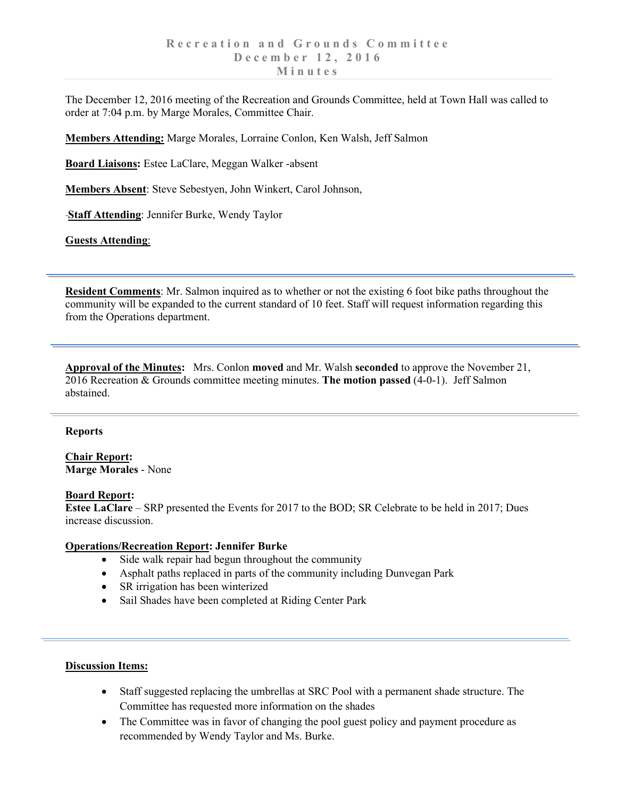The December 12, 2016 meeting of the Recreation and Grounds Committee, held at Town Hall was called to order at 7:04 p.m. by Marge Morales, Committee Chair.

**Members Attending:** Marge Morales, Lorraine Conlon, Ken Walsh, Jeff Salmon

**Board Liaisons:** Estee LaClare, Meggan Walker -absent

**Members Absent**: Steve Sebestyen, John Winkert, Carol Johnson,

**Staff Attending**: Jennifer Burke, Wendy Taylor

**Guests Attending**:

**Resident Comments**: Mr. Salmon inquired as to whether or not the existing 6 foot bike paths throughout the community will be expanded to the current standard of 10 feet. Staff will request information regarding this from the Operations department.

**Approval of the Minutes:** Mrs. Conlon **moved** and Mr. Walsh **seconded** to approve the November 21, 2016 Recreation & Grounds committee meeting minutes. **The motion passed** (4-0-1). Jeff Salmon abstained.

### **Reports**

**Chair Report: Marge Morales** - None

## **Board Report:**

**Estee LaClare** – SRP presented the Events for 2017 to the BOD; SR Celebrate to be held in 2017; Dues increase discussion.

### **Operations/Recreation Report: Jennifer Burke**

- Side walk repair had begun throughout the community
- Asphalt paths replaced in parts of the community including Dunvegan Park
- SR irrigation has been winterized
- Sail Shades have been completed at Riding Center Park

### **Discussion Items:**

- Staff suggested replacing the umbrellas at SRC Pool with a permanent shade structure. The Committee has requested more information on the shades
- The Committee was in favor of changing the pool guest policy and payment procedure as recommended by Wendy Taylor and Ms. Burke.